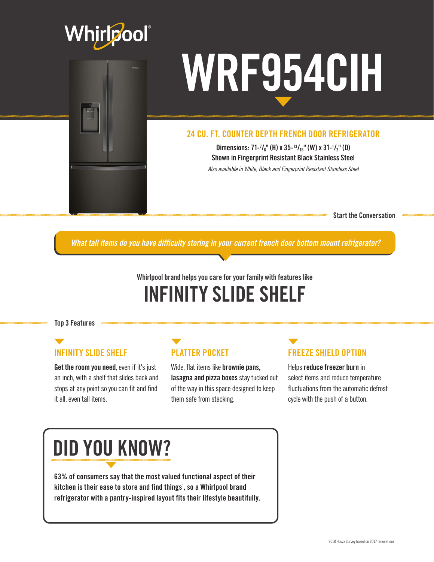



#### 24 CU. FT. COUNTER DEPTH FRENCH DOOR REFRIGERATOR

Dimensions: 71- $\frac{7}{8}$ " (H) x 35- $\frac{13}{16}$ " (W) x 31- $\frac{1}{2}$ " (D) Shown in Fingerprint Resistant Black Stainless Steel *Also available in White, Black and Fingerprint Resistant Stainless Steel*

Start the Conversation

*What tall items do you have difficulty storing in your current french door bottom mount refrigerator?*

#### Whirlpool brand helps you care for your family with features like INFINITY SLIDE SHELF

Top 3 Features

#### INFINITY SLIDE SHELF

Get the room you need, even if it's just an inch, with a shelf that slides back and stops at any point so you can fit and find it all, even tall items.

#### PLATTER POCKET

Wide, flat items like brownie pans, lasagna and pizza boxes stay tucked out of the way in this space designed to keep them safe from stacking.

#### FREEZE SHIELD OPTION

Helps reduce freezer burn in select items and reduce temperature fluctuations from the automatic defrost cycle with the push of a button.

## DID YOU KNOW?

63% of consumers say that the most valued functional aspect of their kitchen is their ease to store and find things , so a Whirlpool brand refrigerator with a pantry-inspired layout fits their lifestyle beautifully.